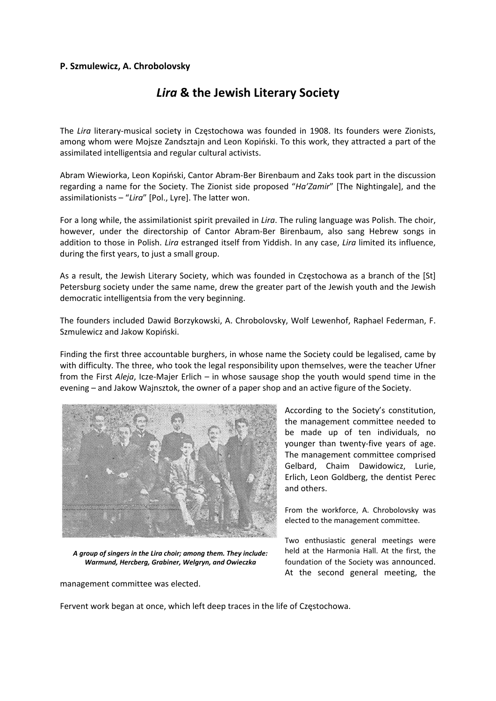## **P. Szmulewicz, A. Chrobolovsky**

## *Lira* **& the Jewish Literary Society**

The *Lira* literary‐musical society in Częstochowa was founded in 1908. Its founders were Zionists, among whom were Mojsze Zandsztajn and Leon Kopiński. To this work, they attracted a part of the assimilated intelligentsia and regular cultural activists.

Abram Wiewiorka, Leon Kopiński, Cantor Abram‐Ber Birenbaum and Zaks took part in the discussion regarding a name for the Society. The Zionist side proposed "*Ha'Zamir*" [The Nightingale], and the assimilationists – "*Lira*" [Pol., Lyre]. The latter won.

For a long while, the assimilationist spirit prevailed in *Lira*. The ruling language was Polish. The choir, however, under the directorship of Cantor Abram-Ber Birenbaum, also sang Hebrew songs in addition to those in Polish. *Lira* estranged itself from Yiddish. In any case, *Lira* limited its influence, during the first years, to just a small group.

As a result, the Jewish Literary Society, which was founded in Częstochowa as a branch of the [St] Petersburg society under the same name, drew the greater part of the Jewish youth and the Jewish democratic intelligentsia from the very beginning.

The founders included Dawid Borzykowski, A. Chrobolovsky, Wolf Lewenhof, Raphael Federman, F. Szmulewicz and Jakow Kopiński.

Finding the first three accountable burghers, in whose name the Society could be legalised, came by with difficulty. The three, who took the legal responsibility upon themselves, were the teacher Ufner from the First *Aleja*, Icze-Majer Erlich – in whose sausage shop the youth would spend time in the evening – and Jakow Wajnsztok, the owner of a paper shop and an active figure of the Society.



*A group of singers in the Lira choir; among them. They include: Warmund, Hercberg, Grabiner, Welgryn, and Owieczka* 

management committee was elected.

According to the Society's constitution, the management committee needed to be made up of ten individuals, no younger than twenty-five years of age. The management committee comprised Gelbard, Chaim Dawidowicz, Lurie, Erlich, Leon Goldberg, the dentist Perec and others.

From the workforce, A. Chrobolovsky was elected to the management committee.

Two enthusiastic general meetings were held at the Harmonia Hall. At the first, the foundation of the Society was announced. At the second general meeting, the

Fervent work began at once, which left deep traces in the life of Częstochowa.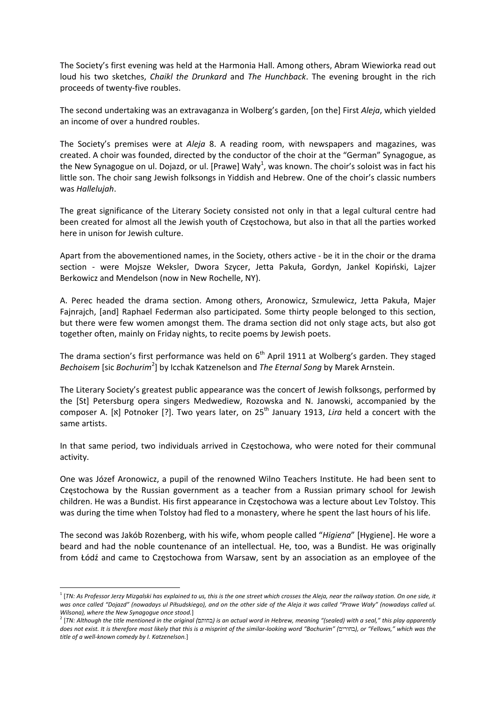The Society's first evening was held at the Harmonia Hall. Among others, Abram Wiewiorka read out loud his two sketches, *Chaikl the Drunkard* and *The Hunchback*. The evening brought in the rich proceeds of twenty‐five roubles.

The second undertaking was an extravaganza in Wolberg's garden, [on the] First *Aleja*, which yielded an income of over a hundred roubles.

The Society's premises were at *Aleja* 8. A reading room, with newspapers and magazines, was created. A choir was founded, directed by the conductor of the choir at the "German" Synagogue, as the New Synagogue on ul. Dojazd, or ul. [Prawe] Wały<sup>1</sup>, was known. The choir's soloist was in fact his little son. The choir sang Jewish folksongs in Yiddish and Hebrew. One of the choir's classic numbers was *Hallelujah*.

The great significance of the Literary Society consisted not only in that a legal cultural centre had been created for almost all the Jewish youth of Częstochowa, but also in that all the parties worked here in unison for Jewish culture.

Apart from the abovementioned names, in the Society, others active ‐ be it in the choir or the drama section ‐ were Mojsze Weksler, Dwora Szycer, Jetta Pakuła, Gordyn, Jankel Kopiński, Lajzer Berkowicz and Mendelson (now in New Rochelle, NY).

A. Perec headed the drama section. Among others, Aronowicz, Szmulewicz, Jetta Pakuła, Majer Fajnrajch, [and] Raphael Federman also participated. Some thirty people belonged to this section, but there were few women amongst them. The drama section did not only stage acts, but also got together often, mainly on Friday nights, to recite poems by Jewish poets.

The drama section's first performance was held on 6<sup>th</sup> April 1911 at Wolberg's garden. They staged *Bechoisem* [sic *Bochurim*<sup>2</sup> ] by Icchak Katzenelson and *The Eternal Song* by Marek Arnstein.

The Literary Society's greatest public appearance was the concert of Jewish folksongs, performed by the [St] Petersburg opera singers Medwediew, Rozowska and N. Janowski, accompanied by the composer A. [x] Potnoker [?]. Two years later, on 25<sup>th</sup> January 1913, *Lira* held a concert with the same artists.

In that same period, two individuals arrived in Częstochowa, who were noted for their communal activity.

One was Józef Aronowicz, a pupil of the renowned Wilno Teachers Institute. He had been sent to Częstochowa by the Russian government as a teacher from a Russian primary school for Jewish children. He was a Bundist. His first appearance in Częstochowa was a lecture about Lev Tolstoy. This was during the time when Tolstoy had fled to a monastery, where he spent the last hours of his life.

The second was Jakób Rozenberg, with his wife, whom people called "*Higiena*" [Hygiene]. He wore a beard and had the noble countenance of an intellectual. He, too, was a Bundist. He was originally from Łódź and came to Częstochowa from Warsaw, sent by an association as an employee of the

<sup>&</sup>lt;sup>1</sup> [TN: As Professor Jerzy Mizgalski has explained to us, this is the one street which crosses the Aleja, near the railway station. On one side, it was once called "Dojazd" (nowadays ul Piłsudskiego), and on the other side of the Aleja it was called "Prawe Wały" (nowadays called ul.

Wilsona), where the New Synagogue once stood.]<br><sup>2</sup> [TN: Although the title mentioned in the original (בהותם) is an actual word in Hebrew, meaning "(sealed) with a seal," this play apparently does not exist. It is therefore most likely that this is a misprint of the similar-looking word "Bochurim" (בחורים), or "Fellows," which was the *title of a well‐known comedy by I. Katzenelson.*]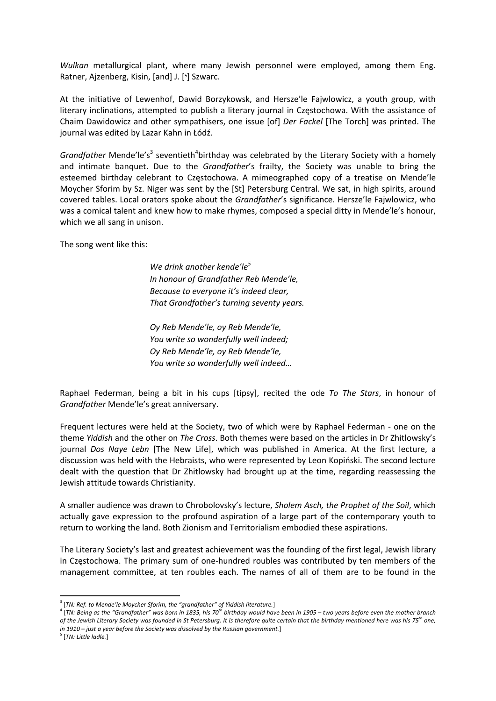*Wulkan* metallurgical plant, where many Jewish personnel were employed, among them Eng. Ratner, Ajzenberg, Kisin, [and] J. ['] Szwarc.

At the initiative of Lewenhof, Dawid Borzykowsk, and Hersze'le Fajwlowicz, a youth group, with literary inclinations, attempted to publish a literary journal in Częstochowa. With the assistance of Chaim Dawidowicz and other sympathisers, one issue [of] *Der Fackel* [The Torch] was printed. The journal was edited by Lazar Kahn in Łódź.

Grandfather Mende'le's<sup>3</sup> seventieth<sup>4</sup>birthday was celebrated by the Literary Society with a homely and intimate banquet. Due to the *Grandfather*'s frailty, the Society was unable to bring the esteemed birthday celebrant to Częstochowa. A mimeographed copy of a treatise on Mende'le Moycher Sforim by Sz. Niger was sent by the [St] Petersburg Central. We sat, in high spirits, around covered tables. Local orators spoke about the *Grandfather*'s significance. Hersze'le Fajwlowicz, who was a comical talent and knew how to make rhymes, composed a special ditty in Mende'le's honour, which we all sang in unison.

The song went like this:

*We drink another kende'le<sup>5</sup> In honour of Grandfather Reb Mende'le, Because to everyone it's indeed clear, That Grandfather's turning seventy years.*

*Oy Reb Mende'le, oy Reb Mende'le, You write so wonderfully well indeed; Oy Reb Mende'le, oy Reb Mende'le, You write so wonderfully well indeed…*

Raphael Federman, being a bit in his cups [tipsy], recited the ode *To The Stars*, in honour of *Grandfather* Mende'le's great anniversary.

Frequent lectures were held at the Society, two of which were by Raphael Federman ‐ one on the theme *Yiddish* and the other on *The Cross*. Both themes were based on the articles in Dr Zhitlowsky's journal *Dos Naye Lebn* [The New Life], which was published in America. At the first lecture, a discussion was held with the Hebraists, who were represented by Leon Kopiński. The second lecture dealt with the question that Dr Zhitlowsky had brought up at the time, regarding reassessing the Jewish attitude towards Christianity.

A smaller audience was drawn to Chrobolovsky's lecture, *Sholem Asch, the Prophet of the Soil*, which actually gave expression to the profound aspiration of a large part of the contemporary youth to return to working the land. Both Zionism and Territorialism embodied these aspirations.

The Literary Society's last and greatest achievement was the founding of the first legal, Jewish library in Częstochowa. The primary sum of one‐hundred roubles was contributed by ten members of the management committee, at ten roubles each. The names of all of them are to be found in the

<sup>3</sup> [*TN: Ref. to Mende'le Moycher Sforim, the "grandfather" of Yiddish literature.*]

<sup>&</sup>lt;sup>4</sup> [TN: Being as the "Grandfather" was born in 1835, his 70<sup>th</sup> birthday would have been in 1905 – two years before even the mother branch of the Jewish Literary Society was founded in St Petersburg. It is therefore quite certain that the birthday mentioned here was his  $75^{th}$  one, *in 1910 – just a year before the Society was dissolved by the Russian government.*]

<sup>5</sup> [*TN: Little ladle.*]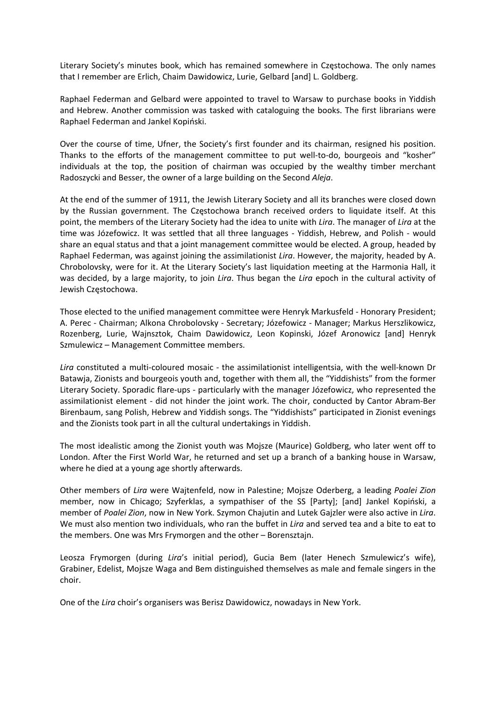Literary Society's minutes book, which has remained somewhere in Częstochowa. The only names that I remember are Erlich, Chaim Dawidowicz, Lurie, Gelbard [and] L. Goldberg.

Raphael Federman and Gelbard were appointed to travel to Warsaw to purchase books in Yiddish and Hebrew. Another commission was tasked with cataloguing the books. The first librarians were Raphael Federman and Jankel Kopiński.

Over the course of time, Ufner, the Society's first founder and its chairman, resigned his position. Thanks to the efforts of the management committee to put well-to-do, bourgeois and "kosher" individuals at the top, the position of chairman was occupied by the wealthy timber merchant Radoszycki and Besser, the owner of a large building on the Second *Aleja*.

At the end of the summer of 1911, the Jewish Literary Society and all its branches were closed down by the Russian government. The Częstochowa branch received orders to liquidate itself. At this point, the members of the Literary Society had the idea to unite with *Lira*. The manager of *Lira* at the time was Józefowicz. It was settled that all three languages - Yiddish, Hebrew, and Polish - would share an equal status and that a joint management committee would be elected. A group, headed by Raphael Federman, was against joining the assimilationist *Lira*. However, the majority, headed by A. Chrobolovsky, were for it. At the Literary Society's last liquidation meeting at the Harmonia Hall, it was decided, by a large majority, to join *Lira*. Thus began the *Lira* epoch in the cultural activity of Jewish Częstochowa.

Those elected to the unified management committee were Henryk Markusfeld ‐ Honorary President; A. Perec ‐ Chairman; Alkona Chrobolovsky ‐ Secretary; Józefowicz ‐ Manager; Markus Herszlikowicz, Rozenberg, Lurie, Wajnsztok, Chaim Dawidowicz, Leon Kopinski, Józef Aronowicz [and] Henryk Szmulewicz – Management Committee members.

Lira constituted a multi-coloured mosaic - the assimilationist intelligentsia, with the well-known Dr Batawja, Zionists and bourgeois youth and, together with them all, the "Yiddishists" from the former Literary Society. Sporadic flare‐ups ‐ particularly with the manager Józefowicz, who represented the assimilationist element ‐ did not hinder the joint work. The choir, conducted by Cantor Abram‐Ber Birenbaum, sang Polish, Hebrew and Yiddish songs. The "Yiddishists" participated in Zionist evenings and the Zionists took part in all the cultural undertakings in Yiddish.

The most idealistic among the Zionist youth was Mojsze (Maurice) Goldberg, who later went off to London. After the First World War, he returned and set up a branch of a banking house in Warsaw, where he died at a young age shortly afterwards.

Other members of *Lira* were Wajtenfeld, now in Palestine; Mojsze Oderberg, a leading *Poalei Zion* member, now in Chicago; Szyferklas, a sympathiser of the SS [Party]; [and] Jankel Kopiński, a member of *Poalei Zion*, now in New York. Szymon Chajutin and Lutek Gajzler were also active in *Lira*. We must also mention two individuals, who ran the buffet in *Lira* and served tea and a bite to eat to the members. One was Mrs Frymorgen and the other – Borensztajn.

Leosza Frymorgen (during *Lira*'s initial period), Gucia Bem (later Henech Szmulewicz's wife), Grabiner, Edelist, Mojsze Waga and Bem distinguished themselves as male and female singers in the choir.

One of the *Lira* choir's organisers was Berisz Dawidowicz, nowadays in New York.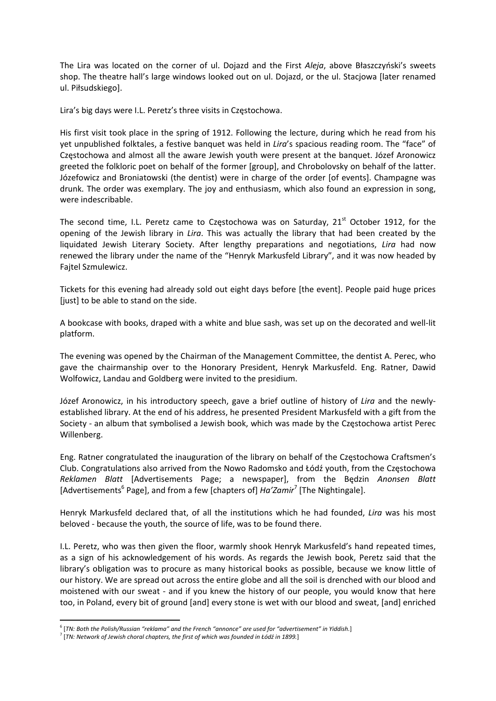The Lira was located on the corner of ul. Dojazd and the First *Aleja*, above Błaszczyński's sweets shop. The theatre hall's large windows looked out on ul. Dojazd, or the ul. Stacjowa [later renamed ul. Piłsudskiego].

Lira's big days were I.L. Peretz's three visits in Częstochowa.

His first visit took place in the spring of 1912. Following the lecture, during which he read from his yet unpublished folktales, a festive banquet was held in *Lira*'s spacious reading room. The "face" of Częstochowa and almost all the aware Jewish youth were present at the banquet. Józef Aronowicz greeted the folkloric poet on behalf of the former [group], and Chrobolovsky on behalf of the latter. Józefowicz and Broniatowski (the dentist) were in charge of the order [of events]. Champagne was drunk. The order was exemplary. The joy and enthusiasm, which also found an expression in song, were indescribable.

The second time, I.L. Peretz came to Częstochowa was on Saturday,  $21<sup>st</sup>$  October 1912, for the opening of the Jewish library in *Lira*. This was actually the library that had been created by the liquidated Jewish Literary Society. After lengthy preparations and negotiations, *Lira* had now renewed the library under the name of the "Henryk Markusfeld Library", and it was now headed by Fajtel Szmulewicz.

Tickets for this evening had already sold out eight days before [the event]. People paid huge prices [just] to be able to stand on the side.

A bookcase with books, draped with a white and blue sash, was set up on the decorated and well‐lit platform.

The evening was opened by the Chairman of the Management Committee, the dentist A. Perec, who gave the chairmanship over to the Honorary President, Henryk Markusfeld. Eng. Ratner, Dawid Wolfowicz, Landau and Goldberg were invited to the presidium.

Józef Aronowicz, in his introductory speech, gave a brief outline of history of *Lira* and the newly‐ established library. At the end of his address, he presented President Markusfeld with a gift from the Society ‐ an album that symbolised a Jewish book, which was made by the Częstochowa artist Perec Willenberg.

Eng. Ratner congratulated the inauguration of the library on behalf of the Częstochowa Craftsmen's Club. Congratulations also arrived from the Nowo Radomsko and Łódź youth, from the Częstochowa *Reklamen Blatt* [Advertisements Page; a newspaper], from the Będzin *Anonsen Blatt* [Advertisements<sup>6</sup> Page], and from a few [chapters of] *Ha'Zamir*<sup>7</sup> [The Nightingale].

Henryk Markusfeld declared that, of all the institutions which he had founded, *Lira* was his most beloved ‐ because the youth, the source of life, was to be found there.

I.L. Peretz, who was then given the floor, warmly shook Henryk Markusfeld's hand repeated times, as a sign of his acknowledgement of his words. As regards the Jewish book, Peretz said that the library's obligation was to procure as many historical books as possible, because we know little of our history. We are spread out across the entire globe and all the soil is drenched with our blood and moistened with our sweat - and if you knew the history of our people, you would know that here too, in Poland, every bit of ground [and] every stone is wet with our blood and sweat, [and] enriched

<sup>6</sup> [*TN: Both the Polish/Russian "reklama" and the French "annonce" are used for "advertisement" in Yiddish.*]

<sup>7</sup> [*TN: Network of Jewish choral chapters, the first of which was founded in Łódź in 1899.*]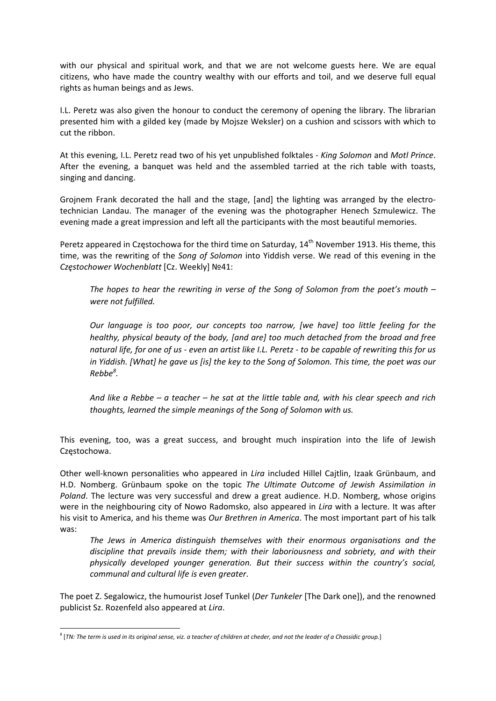with our physical and spiritual work, and that we are not welcome guests here. We are equal citizens, who have made the country wealthy with our efforts and toil, and we deserve full equal rights as human beings and as Jews.

I.L. Peretz was also given the honour to conduct the ceremony of opening the library. The librarian presented him with a gilded key (made by Mojsze Weksler) on a cushion and scissors with which to cut the ribbon.

At this evening, I.L. Peretz read two of his yet unpublished folktales ‐ *King Solomon* and *Motl Prince*. After the evening, a banquet was held and the assembled tarried at the rich table with toasts, singing and dancing.

Grojnem Frank decorated the hall and the stage, [and] the lighting was arranged by the electro‐ technician Landau. The manager of the evening was the photographer Henech Szmulewicz. The evening made a great impression and left all the participants with the most beautiful memories.

Peretz appeared in Częstochowa for the third time on Saturday, 14<sup>th</sup> November 1913. His theme, this time, was the rewriting of the *Song of Solomon* into Yiddish verse. We read of this evening in the *Częstochower Wochenblatt* [Cz. Weekly] №41:

*The hopes to hear the rewriting in verse of the Song of Solomon from the poet's mouth – were not fulfilled.*

*Our language is too poor, our concepts too narrow, [we have] too little feeling for the healthy, physical beauty of the body, [and are] too much detached from the broad and free* natural life, for one of us - even an artist like I.L. Peretz - to be capable of rewriting this for us in Yiddish. [What] he gave us [is] the key to the Song of Solomon. This time, the poet was our *Rebbe<sup>8</sup> .* 

And like a Rebbe  $-$  a teacher  $-$  he sat at the little table and, with his clear speech and rich *thoughts, learned the simple meanings of the Song of Solomon with us.*

This evening, too, was a great success, and brought much inspiration into the life of Jewish Częstochowa.

Other well‐known personalities who appeared in *Lira* included Hillel Cajtlin, Izaak Grünbaum, and H.D. Nomberg. Grünbaum spoke on the topic *The Ultimate Outcome of Jewish Assimilation in Poland*. The lecture was very successful and drew a great audience. H.D. Nomberg, whose origins were in the neighbouring city of Nowo Radomsko, also appeared in *Lira* with a lecture. It was after his visit to America, and his theme was *Our Brethren in America*. The most important part of his talk was:

*The Jews in America distinguish themselves with their enormous organisations and the discipline that prevails inside them; with their laboriousness and sobriety, and with their physically developed younger generation. But their success within the country's social, communal and cultural life is even greater*.

The poet Z. Segalowicz, the humourist Josef Tunkel (*Der Tunkeler* [The Dark one]), and the renowned publicist Sz. Rozenfeld also appeared at *Lira*.

<sup>&</sup>lt;sup>8</sup> [TN: The term is used in its original sense, viz. a teacher of children at cheder, and not the leader of a Chassidic group.]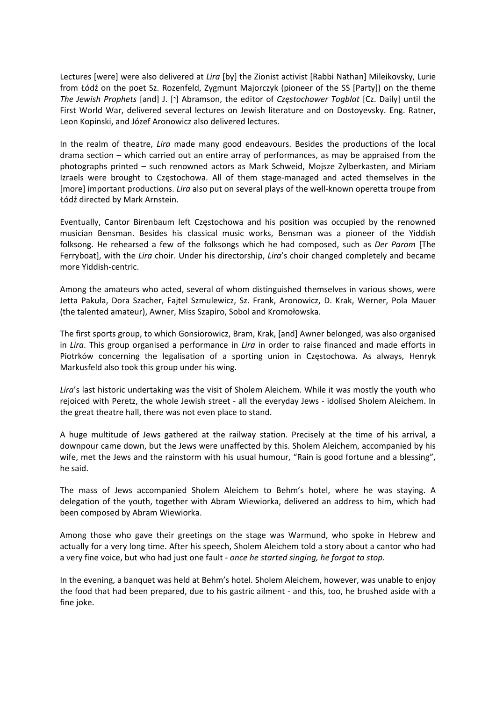Lectures [were] were also delivered at *Lira* [by] the Zionist activist [Rabbi Nathan] Mileikovsky, Lurie from Łódź on the poet Sz. Rozenfeld, Zygmunt Majorczyk (pioneer of the SS [Party]) on the theme *The Jewish Prophets* [and] J. ['] Abramson, the editor of *Częstochower Togblat* [Cz. Daily] until the First World War, delivered several lectures on Jewish literature and on Dostoyevsky. Eng. Ratner, Leon Kopinski, and Józef Aronowicz also delivered lectures.

In the realm of theatre, *Lira* made many good endeavours. Besides the productions of the local drama section – which carried out an entire array of performances, as may be appraised from the photographs printed – such renowned actors as Mark Schweid, Mojsze Zylberkasten, and Miriam Izraels were brought to Częstochowa. All of them stage‐managed and acted themselves in the [more] important productions. *Lira* also put on several plays of the well‐known operetta troupe from Łódź directed by Mark Arnstein.

Eventually, Cantor Birenbaum left Częstochowa and his position was occupied by the renowned musician Bensman. Besides his classical music works, Bensman was a pioneer of the Yiddish folksong. He rehearsed a few of the folksongs which he had composed, such as *Der Parom* [The Ferryboat], with the *Lira* choir. Under his directorship, *Lira*'s choir changed completely and became more Yiddish‐centric.

Among the amateurs who acted, several of whom distinguished themselves in various shows, were Jetta Pakuła, Dora Szacher, Fajtel Szmulewicz, Sz. Frank, Aronowicz, D. Krak, Werner, Pola Mauer (the talented amateur), Awner, Miss Szapiro, Sobol and Kromołowska.

The first sports group, to which Gonsiorowicz, Bram, Krak, [and] Awner belonged, was also organised in *Lira*. This group organised a performance in *Lira* in order to raise financed and made efforts in Piotrków concerning the legalisation of a sporting union in Częstochowa. As always, Henryk Markusfeld also took this group under his wing.

*Lira*'s last historic undertaking was the visit of Sholem Aleichem. While it was mostly the youth who rejoiced with Peretz, the whole Jewish street ‐ all the everyday Jews ‐ idolised Sholem Aleichem. In the great theatre hall, there was not even place to stand.

A huge multitude of Jews gathered at the railway station. Precisely at the time of his arrival, a downpour came down, but the Jews were unaffected by this. Sholem Aleichem, accompanied by his wife, met the Jews and the rainstorm with his usual humour, "Rain is good fortune and a blessing", he said.

The mass of Jews accompanied Sholem Aleichem to Behm's hotel, where he was staying. A delegation of the youth, together with Abram Wiewiorka, delivered an address to him, which had been composed by Abram Wiewiorka.

Among those who gave their greetings on the stage was Warmund, who spoke in Hebrew and actually for a very long time. After his speech, Sholem Aleichem told a story about a cantor who had a very fine voice, but who had just one fault ‐ *once he started singing, he forgot to stop.*

In the evening, a banquet was held at Behm's hotel. Sholem Aleichem, however, was unable to enjoy the food that had been prepared, due to his gastric ailment ‐ and this, too, he brushed aside with a fine joke.